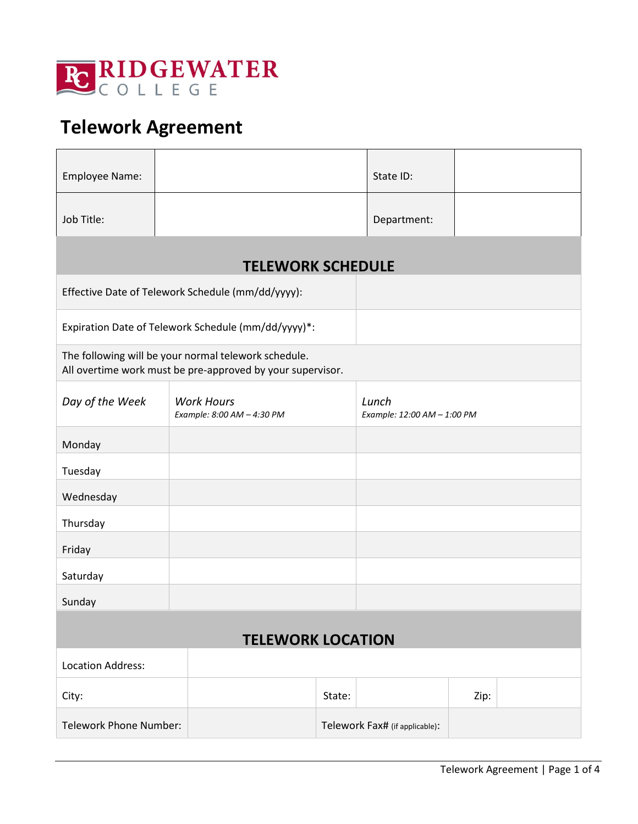

# **Telework Agreement**

| Employee Name:                                                                                                     |                                                     | State ID:                            |  |  |  |  |  |
|--------------------------------------------------------------------------------------------------------------------|-----------------------------------------------------|--------------------------------------|--|--|--|--|--|
| Job Title:                                                                                                         |                                                     | Department:                          |  |  |  |  |  |
| <b>TELEWORK SCHEDULE</b>                                                                                           |                                                     |                                      |  |  |  |  |  |
|                                                                                                                    | Effective Date of Telework Schedule (mm/dd/yyyy):   |                                      |  |  |  |  |  |
|                                                                                                                    | Expiration Date of Telework Schedule (mm/dd/yyyy)*: |                                      |  |  |  |  |  |
| The following will be your normal telework schedule.<br>All overtime work must be pre-approved by your supervisor. |                                                     |                                      |  |  |  |  |  |
| Day of the Week                                                                                                    | <b>Work Hours</b><br>Example: 8:00 AM - 4:30 PM     | Lunch<br>Example: 12:00 AM - 1:00 PM |  |  |  |  |  |
| Monday                                                                                                             |                                                     |                                      |  |  |  |  |  |
| Tuesday                                                                                                            |                                                     |                                      |  |  |  |  |  |
| Wednesday                                                                                                          |                                                     |                                      |  |  |  |  |  |
| Thursday                                                                                                           |                                                     |                                      |  |  |  |  |  |
| Friday                                                                                                             |                                                     |                                      |  |  |  |  |  |
| Saturday                                                                                                           |                                                     |                                      |  |  |  |  |  |
| Sunday                                                                                                             |                                                     |                                      |  |  |  |  |  |
| <b>TELEWORK LOCATION</b>                                                                                           |                                                     |                                      |  |  |  |  |  |
| Location Address:                                                                                                  |                                                     |                                      |  |  |  |  |  |
| City:                                                                                                              |                                                     | Zip:<br>State:                       |  |  |  |  |  |
| <b>Telework Phone Number:</b>                                                                                      |                                                     | Telework Fax# (if applicable):       |  |  |  |  |  |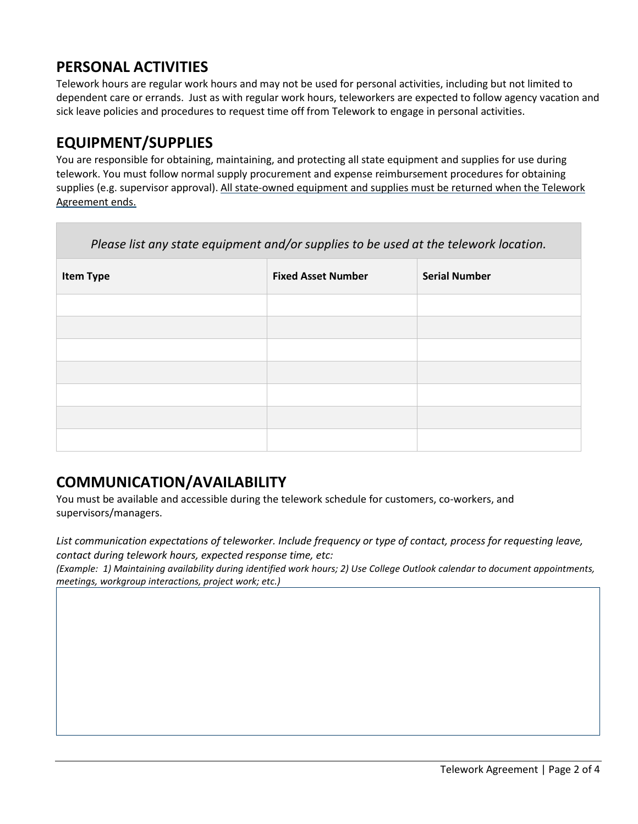# **PERSONAL ACTIVITIES**

Telework hours are regular work hours and may not be used for personal activities, including but not limited to dependent care or errands. Just as with regular work hours, teleworkers are expected to follow agency vacation and sick leave policies and procedures to request time off from Telework to engage in personal activities.

### **EQUIPMENT/SUPPLIES**

You are responsible for obtaining, maintaining, and protecting all state equipment and supplies for use during telework. You must follow normal supply procurement and expense reimbursement procedures for obtaining supplies (e.g. supervisor approval). All state-owned equipment and supplies must be returned when the Telework Agreement ends.

| Please list any state equipment and/or supplies to be used at the telework location. |                           |                      |  |  |  |
|--------------------------------------------------------------------------------------|---------------------------|----------------------|--|--|--|
| <b>Item Type</b>                                                                     | <b>Fixed Asset Number</b> | <b>Serial Number</b> |  |  |  |
|                                                                                      |                           |                      |  |  |  |
|                                                                                      |                           |                      |  |  |  |
|                                                                                      |                           |                      |  |  |  |
|                                                                                      |                           |                      |  |  |  |
|                                                                                      |                           |                      |  |  |  |
|                                                                                      |                           |                      |  |  |  |
|                                                                                      |                           |                      |  |  |  |

# **COMMUNICATION/AVAILABILITY**

You must be available and accessible during the telework schedule for customers, co-workers, and supervisors/managers.

*List communication expectations of teleworker. Include frequency or type of contact, process for requesting leave, contact during telework hours, expected response time, etc:* 

*(Example: 1) Maintaining availability during identified work hours; 2) Use College Outlook calendar to document appointments, meetings, workgroup interactions, project work; etc.)*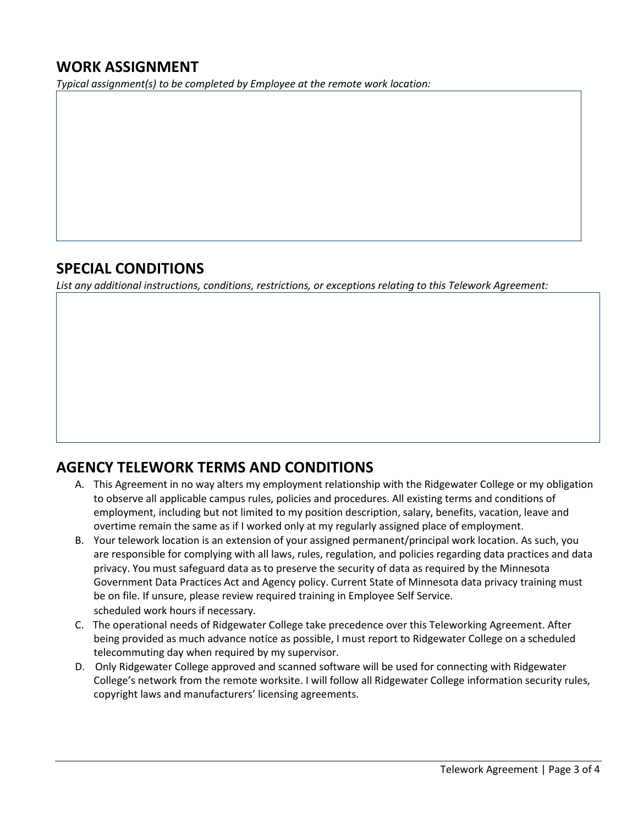### **WORK ASSIGNMENT**

*Typical assignment(s) to be completed by Employee at the remote work location:* 

#### **SPECIAL CONDITIONS**

*List any additional instructions, conditions, restrictions, or exceptions relating to this Telework Agreement:* 

# **AGENCY TELEWORK TERMS AND CONDITIONS**

- A. This Agreement in no way alters my employment relationship with the Ridgewater College or my obligation to observe all applicable campus rules, policies and procedures. All existing terms and conditions of employment, including but not limited to my position description, salary, benefits, vacation, leave and overtime remain the same as if I worked only at my regularly assigned place of employment.
- B. Your telework location is an extension of your assigned permanent/principal work location. As such, you are responsible for complying with all laws, rules, regulation, and policies regarding data practices and data privacy. You must safeguard data as to preserve the security of data as required by the Minnesota Government Data Practices Act and Agency policy. Current State of Minnesota data privacy training must be on file. If unsure, please review required training in Employee Self Service. scheduled work hours if necessary.
- C. The operational needs of Ridgewater College take precedence over this Teleworking Agreement. After being provided as much advance notice as possible, I must report to Ridgewater College on a scheduled telecommuting day when required by my supervisor.
- D. Only Ridgewater College approved and scanned software will be used for connecting with Ridgewater College's network from the remote worksite. I will follow all Ridgewater College information security rules, copyright laws and manufacturers' licensing agreements.